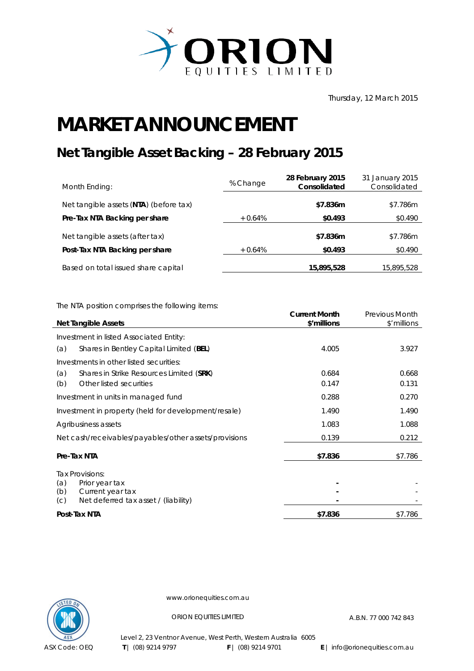

## **MARKET ANNOUNCEMENT**

## **Net Tangible Asset Backing – 28 February 2015**

| Month Ending:                          | % Change  | 28 February 2015<br>Consolidated | 31 January 2015<br>Consolidated |
|----------------------------------------|-----------|----------------------------------|---------------------------------|
| Net tangible assets (NTA) (before tax) |           | \$7.836m                         | \$7.786m                        |
| Pre-Tax NTA Backing per share          | $+0.64\%$ | \$0.493                          | \$0.490                         |
| Net tangible assets (after tax)        |           | \$7.836m                         | \$7.786m                        |
| Post-Tax NTA Backing per share         | $+0.64%$  | \$0.493                          | \$0.490                         |
| Based on total issued share capital    |           | 15,895,528                       | 15,895,528                      |

The NTA position comprises the following items:

| <b>Net Tangible Assets</b>                            | <b>Current Month</b><br>\$'millions | <b>Previous Month</b><br>\$'millions |
|-------------------------------------------------------|-------------------------------------|--------------------------------------|
|                                                       |                                     |                                      |
| Investment in listed Associated Entity:               |                                     |                                      |
| (a)<br>Shares in Bentley Capital Limited (BEL)        | 4.005                               | 3.927                                |
| Investments in other listed securities:               |                                     |                                      |
| (a)<br>Shares in Strike Resources Limited (SRK)       | 0.684                               | 0.668                                |
| Other listed securities<br>(b)                        | 0.147                               | 0.131                                |
| Investment in units in managed fund                   | 0.288                               | 0.270                                |
| Investment in property (held for development/resale)  | 1.490                               | 1.490                                |
| Agribusiness assets                                   | 1.083                               | 1.088                                |
| Net cash/receivables/payables/other assets/provisions | 0.139                               | 0.212                                |
| Pre-Tax NTA                                           | \$7.836                             | \$7.786                              |
| Tax Provisions:                                       |                                     |                                      |
| (a)<br>Prior year tax                                 |                                     |                                      |
| (b)<br>Current year tax                               |                                     |                                      |
| Net deferred tax asset / (liability)<br>(C)           |                                     |                                      |
| Post-Tax NTA                                          | \$7.836                             | \$7.786                              |



www.orionequities.com.au

ORION EQUITIES LIMITED A.B.N. 77 000 742 843

Level 2, 23 Ventnor Avenue, West Perth, Western Australia 6005  **T** | (08) 9214 9797 **F** | (08) 9214 9701 **E** | info@orionequities.com.au